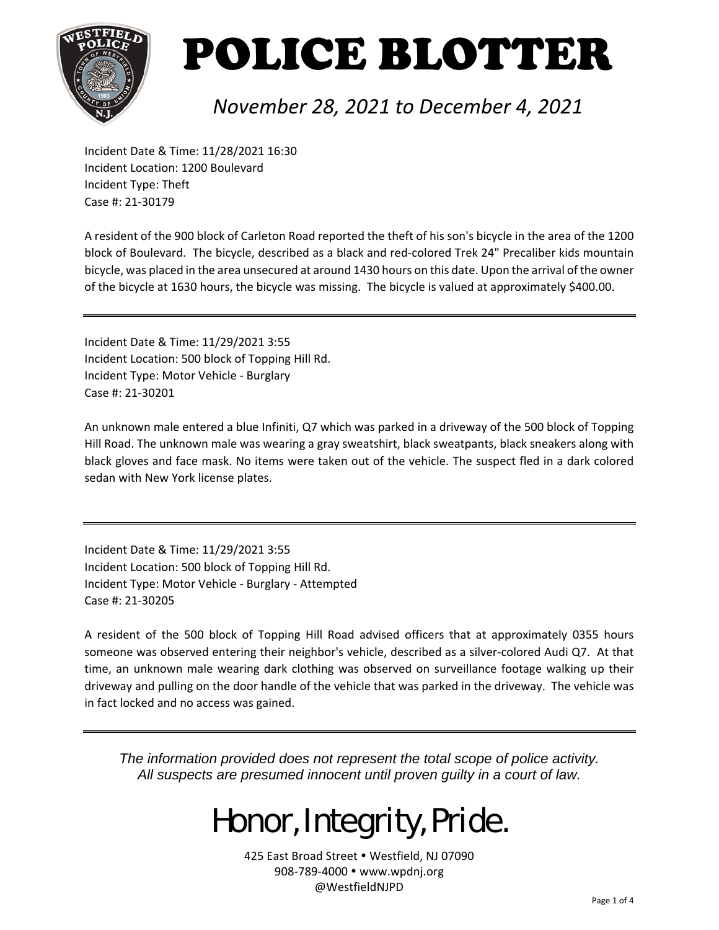

### *November 28, 2021 to December 4, 2021*

Incident Date & Time: 11/28/2021 16:30 Incident Location: 1200 Boulevard Incident Type: Theft Case #: 21‐30179

A resident of the 900 block of Carleton Road reported the theft of his son's bicycle in the area of the 1200 block of Boulevard. The bicycle, described as a black and red‐colored Trek 24" Precaliber kids mountain bicycle, was placed in the area unsecured at around 1430 hours on this date. Upon the arrival of the owner of the bicycle at 1630 hours, the bicycle was missing. The bicycle is valued at approximately \$400.00.

Incident Date & Time: 11/29/2021 3:55 Incident Location: 500 block of Topping Hill Rd. Incident Type: Motor Vehicle ‐ Burglary Case #: 21‐30201

An unknown male entered a blue Infiniti, Q7 which was parked in a driveway of the 500 block of Topping Hill Road. The unknown male was wearing a gray sweatshirt, black sweatpants, black sneakers along with black gloves and face mask. No items were taken out of the vehicle. The suspect fled in a dark colored sedan with New York license plates.

Incident Date & Time: 11/29/2021 3:55 Incident Location: 500 block of Topping Hill Rd. Incident Type: Motor Vehicle ‐ Burglary ‐ Attempted Case #: 21‐30205

A resident of the 500 block of Topping Hill Road advised officers that at approximately 0355 hours someone was observed entering their neighbor's vehicle, described as a silver-colored Audi Q7. At that time, an unknown male wearing dark clothing was observed on surveillance footage walking up their driveway and pulling on the door handle of the vehicle that was parked in the driveway. The vehicle was in fact locked and no access was gained.

*The information provided does not represent the total scope of police activity. All suspects are presumed innocent until proven guilty in a court of law.* 

## Honor, Integrity, Pride.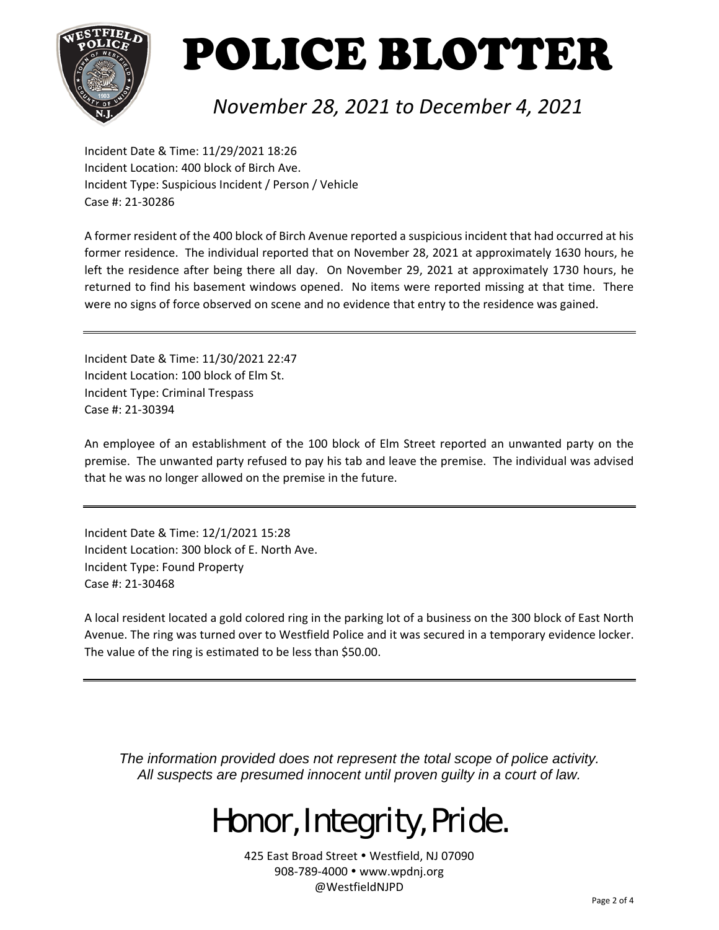

### *November 28, 2021 to December 4, 2021*

Incident Date & Time: 11/29/2021 18:26 Incident Location: 400 block of Birch Ave. Incident Type: Suspicious Incident / Person / Vehicle Case #: 21‐30286

A former resident of the 400 block of Birch Avenue reported a suspicious incident that had occurred at his former residence. The individual reported that on November 28, 2021 at approximately 1630 hours, he left the residence after being there all day. On November 29, 2021 at approximately 1730 hours, he returned to find his basement windows opened. No items were reported missing at that time. There were no signs of force observed on scene and no evidence that entry to the residence was gained.

Incident Date & Time: 11/30/2021 22:47 Incident Location: 100 block of Elm St. Incident Type: Criminal Trespass Case #: 21‐30394

An employee of an establishment of the 100 block of Elm Street reported an unwanted party on the premise. The unwanted party refused to pay his tab and leave the premise. The individual was advised that he was no longer allowed on the premise in the future.

Incident Date & Time: 12/1/2021 15:28 Incident Location: 300 block of E. North Ave. Incident Type: Found Property Case #: 21‐30468

A local resident located a gold colored ring in the parking lot of a business on the 300 block of East North Avenue. The ring was turned over to Westfield Police and it was secured in a temporary evidence locker. The value of the ring is estimated to be less than \$50.00.

*The information provided does not represent the total scope of police activity. All suspects are presumed innocent until proven guilty in a court of law.* 

## Honor, Integrity, Pride.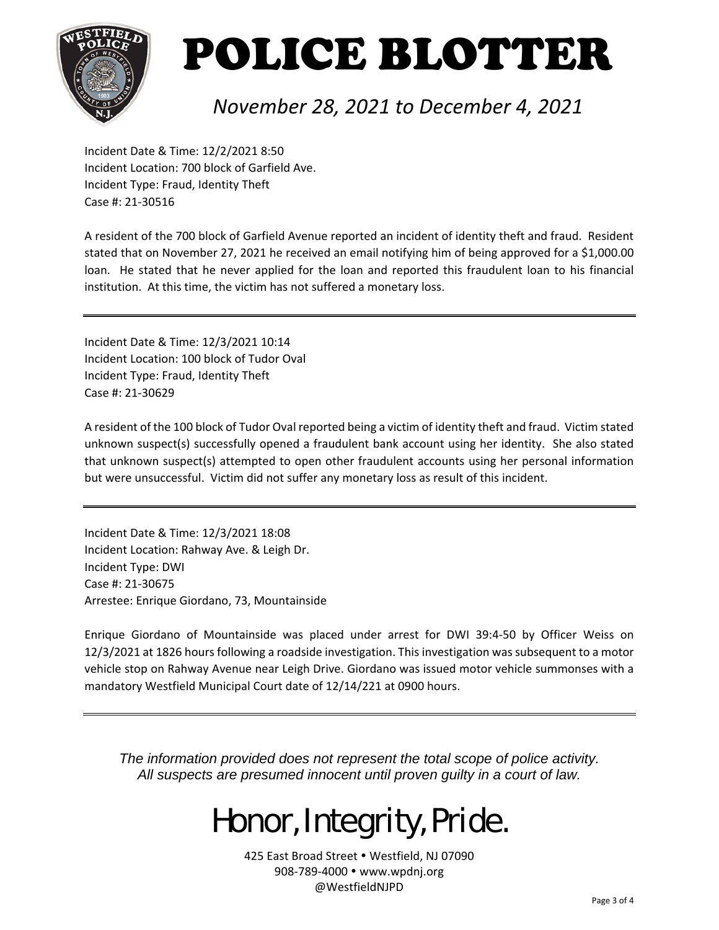

### *November 28, 2021 to December 4, 2021*

Incident Date & Time: 12/2/2021 8:50 Incident Location: 700 block of Garfield Ave. Incident Type: Fraud, Identity Theft Case #: 21‐30516

A resident of the 700 block of Garfield Avenue reported an incident of identity theft and fraud. Resident stated that on November 27, 2021 he received an email notifying him of being approved for a \$1,000.00 loan. He stated that he never applied for the loan and reported this fraudulent loan to his financial institution. At this time, the victim has not suffered a monetary loss.

Incident Date & Time: 12/3/2021 10:14 Incident Location: 100 block of Tudor Oval Incident Type: Fraud, Identity Theft Case #: 21‐30629

A resident of the 100 block of Tudor Oval reported being a victim of identity theft and fraud. Victim stated unknown suspect(s) successfully opened a fraudulent bank account using her identity. She also stated that unknown suspect(s) attempted to open other fraudulent accounts using her personal information but were unsuccessful. Victim did not suffer any monetary loss as result of this incident.

Incident Date & Time: 12/3/2021 18:08 Incident Location: Rahway Ave. & Leigh Dr. Incident Type: DWI Case #: 21‐30675 Arrestee: Enrique Giordano, 73, Mountainside

Enrique Giordano of Mountainside was placed under arrest for DWI 39:4‐50 by Officer Weiss on 12/3/2021 at 1826 hours following a roadside investigation. This investigation was subsequent to a motor vehicle stop on Rahway Avenue near Leigh Drive. Giordano was issued motor vehicle summonses with a mandatory Westfield Municipal Court date of 12/14/221 at 0900 hours.

*The information provided does not represent the total scope of police activity. All suspects are presumed innocent until proven guilty in a court of law.* 

## Honor, Integrity, Pride.